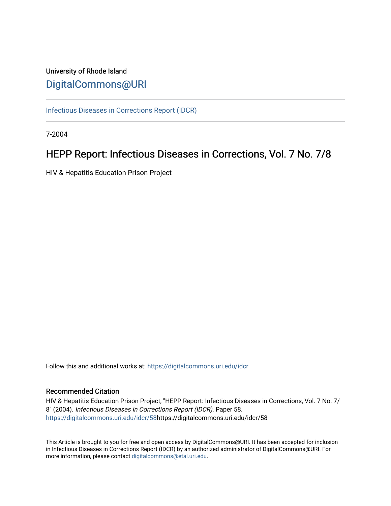# University of Rhode Island [DigitalCommons@URI](https://digitalcommons.uri.edu/)

[Infectious Diseases in Corrections Report \(IDCR\)](https://digitalcommons.uri.edu/idcr)

7-2004

# HEPP Report: Infectious Diseases in Corrections, Vol. 7 No. 7/8

HIV & Hepatitis Education Prison Project

Follow this and additional works at: [https://digitalcommons.uri.edu/idcr](https://digitalcommons.uri.edu/idcr?utm_source=digitalcommons.uri.edu%2Fidcr%2F58&utm_medium=PDF&utm_campaign=PDFCoverPages)

## Recommended Citation

HIV & Hepatitis Education Prison Project, "HEPP Report: Infectious Diseases in Corrections, Vol. 7 No. 7/ 8" (2004). Infectious Diseases in Corrections Report (IDCR). Paper 58. [https://digitalcommons.uri.edu/idcr/58h](https://digitalcommons.uri.edu/idcr/58?utm_source=digitalcommons.uri.edu%2Fidcr%2F58&utm_medium=PDF&utm_campaign=PDFCoverPages)ttps://digitalcommons.uri.edu/idcr/58

This Article is brought to you for free and open access by DigitalCommons@URI. It has been accepted for inclusion in Infectious Diseases in Corrections Report (IDCR) by an authorized administrator of DigitalCommons@URI. For more information, please contact [digitalcommons@etal.uri.edu.](mailto:digitalcommons@etal.uri.edu)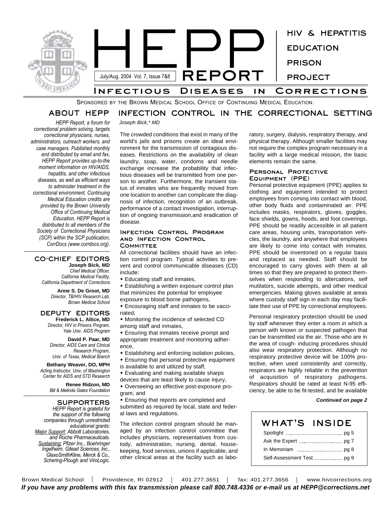

SPONSORED BY THE BROWN MEDICAL SCHOOL OFFICE OF CONTINUING MEDICAL EDUCATION.

#### **ABOUT HEPP INFECTION CONTROL IN THE CORRECTIONAL SETTING**

*Joseph Bick,\* MD*

*HEPP Report, a forum for correctional problem solving, targets correctional physicians, nurses, administrators, outreach workers, and case managers. Published monthly and distributed by email and fax, HEPP Report provides up-to-the moment information on HIV/AIDS, hepatitis, and other infectious diseases, as well as efficient ways to administer treatment in the correctional environment. Continuing Medical Education credits are provided by the Brown University Office of Continuing Medical Education. HEPP Report is distributed to all members of the Society of Correctional Physicians (SCP) within the SCP publication, CorrDocs (www.corrdocs.org).*

#### **CO-CHIEF EDITORS Joseph Bick, MD**

*Chief Medical Officer, California Medical Facility, California Department of Corrections*

> **Anne S. De Groot, MD** *Director, TB/HIV Research Lab, Brown Medical School*

#### **DEPUTY EDITORS Frederick L. Altice, MD**

*Director, HIV in Prisons Program, Yale Univ. AIDS Program*

**David P. Paar, MD** *Director, AIDS Care and Clinical Research Program, Univ. of Texas, Medical Branch*

**Bethany Weaver, DO, MPH** *Acting Instructor, Univ. of Washington Center for AIDS and STD Research*

> **Renee Ridzon, MD** *Bill & Melinda Gates Foundation*

## **SUPPORTERS**

*HEPP Report is grateful for the support of the following companies through unrestricted educational grants: Major Support: Abbott Laboratories, and Roche Pharmaceuticals. Sustaining: Pfizer Inc., Boehringer Ingelheim, Gilead Sciences, Inc., GlaxoSmithKline, Merck & Co., Schering-Plough and ViroLogic.*

The crowded conditions that exist in many of the world's jails and prisons create an ideal environment for the transmission of contagious diseases. Restrictions on the availability of clean laundry, soap, water, condoms and needle exchange increase the probability that infectious diseases will be transmitted from one person to another. Furthermore, the transient status of inmates who are frequently moved from one location to another can complicate the diagnosis of infection, recognition of an outbreak, performance of a contact investigation, interruption of ongoing transmission,and eradication of disease.

#### **Infection Control Program and Infection Control Committee**

All correctional facilities should have an infection control program. Typical activities to prevent and control communicable diseases (CD) include:

- $\bullet$  Educating staff and inmates,
- $\bullet$  Establishing a written exposure control plan that minimizes the potential for employee

exposure to blood borne pathogens, • Encouraging staff and inmates to be vacci-

- nated,
- Monitoring the incidence of selected CD among staff and inmates,

• Ensuring that inmates receive prompt and appropriate treatment and monitoring adherence,

- Establishing and enforcing isolation policies,
- $\bullet$  Ensuring that personal protective equipment
- is available to and utilized by staff,

• Evaluating and making available sharps

devices that are least likely to cause injury,

• Overseeing an effective post-exposure program, and

• Ensuring that reports are completed and submitted as required by local, state and federal laws and regulations.

The infection control program should be managed by an infection control committee that includes physicians, representatives from custody, administration, nursing, dental, housekeeping, food services, unions if applicable, and other clinical areas at the facility such as labo-

ratory, surgery, dialysis, respiratory therapy, and physical therapy. Although smaller facilities may not require the complex program necessary in a facility with a large medical mission, the basic elements remain the same.

## **Personal Protective Equipment (PPE)**

Personal protective equipment (PPE) applies to clothing and equipment intended to protect employees from coming into contact with blood, other body fluids and contaminated air. PPE includes masks, respirators, gloves, goggles, face shields, gowns, hoods, and foot coverings. PPE should be readily accessible in all patient care areas, housing units, transportation vehicles, the laundry, and anywhere that employees are likely to come into contact with inmates. PPE should be inventoried on a regular basis and replaced as needed. Staff should be encouraged to carry gloves with them at all times so that they are prepared to protect themselves when responding to altercations, self mutilators, suicide attempts, and other medical emergencies. Making gloves available at areas where custody staff sign in each day may facilitate their use of PPE by correctional employees.

Personal respiratory protection should be used by staff whenever they enter a room in which a person with known or suspected pathogen that can be transmitted via the air. Those who are in the area of cough- inducing procedures should also wear respiratory protection. Although no respiratory protective device will be 100% protective, when used consistently and correctly, respirators are highly reliable in the prevention of acquisition of respiratory pathogens. Respirators should be rated at least N-95 efficiency, be able to be fit-tested, and be available

#### *Continued on page 2*

| <b>WHAT'S INSIDE</b>                       |  |
|--------------------------------------------|--|
|                                            |  |
| Ask the Expert <b>Manual</b> 2008 2017     |  |
|                                            |  |
| Self-Assessment Test <b>Fig. 2008</b> pg 9 |  |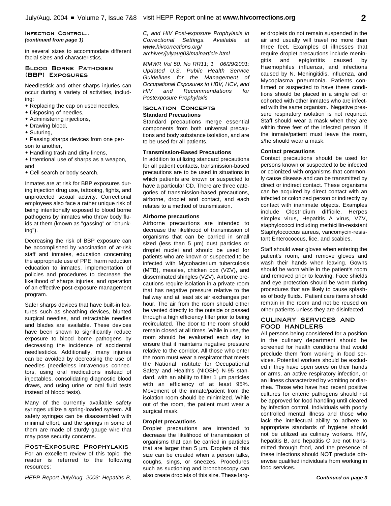**Infection Control...** *(continued from page 1)*

in several sizes to accommodate different facial sizes and characteristics.

### **Blood Borne Pathogen (BBP) Exposures**

Needlestick and other sharps injuries can occur during a variety of activities, including:

- Replacing the cap on used needles,
- $\bullet$  Disposing of needles,
- Administering injections,
- Drawing blood,
- $\bullet$  Suturing,

• Passing sharps devices from one person to another,

- $\bullet$  Handling trash and dirty linens,
- $\bullet$  Intentional use of sharps as a weapon, and
- Cell search or body search.

Inmates are at risk for BBP exposures during injection drug use, tattooing, fights, and unprotected sexual activity. Correctional employees also face a rather unique risk of being intentionally exposed to blood borne pathogens by inmates who throw body fluids at them (known as "gassing" or "chunking").

Decreasing the risk of BBP exposure can be accomplished by vaccination of at-risk staff and inmates, education concerning the appropriate use of PPE, harm reduction education to inmates, implementation of policies and procedures to decrease the likelihood of sharps injuries, and operation of an effective post-exposure management program.

Safer sharps devices that have built-in features such as sheathing devices, blunted surgical needles, and retractable needles and blades are available. These devices have been shown to significantly reduce exposure to blood borne pathogens by decreasing the incidence of accidental needlesticks. Additionally, many injuries can be avoided by decreasing the use of needles (needleless intravenous connectors, using oral medications instead of injectables, consolidating diagnostic blood draws, and using urine or oral fluid tests instead of blood tests).

Many of the currently available safety syringes utilize a spring-loaded system. All safety syringes can be disassembled with minimal effort, and the springs in some of them are made of sturdy gauge wire that may pose security concerns.

## **Post-Exposure Prophylaxis**

For an excellent review of this topic, the reader is referred to the following resources:

*HEPP Report July/Aug. 2003: Hepatitis B,*

*C, and HIV Post-exposure Prophylaxis in Correctional Settings. Available at www.hivcorrections.org/ archives/julyaug03/mainarticle.html*

*MMWR Vol 50, No RR11; 1 06/29/2001: Updated U.S. Public Health Service Guidelines for the Management of Occupational Exposures to HBV, HCV, and HIV and Recommendations for Postexposure Prophylaxis*

## **Isolation Concepts Standard Precautions**

Standard precautions merge essential components from both universal precautions and body substance isolation, and are to be used for all patients.

### **Transmission-Based Precautions**

In addition to utilizing standard precautions for all patient contacts, transmission-based precautions are to be used in situations in which patients are known or suspected to have a particular CD. There are three categories of transmission-based precautions, airborne, droplet and contact, and each relates to a method of transmission.

#### **Airborne precautions**

Airborne precautions are intended to decrease the likelihood of transmission of organisms that can be carried in small sized (less than 5 µm) dust particles or droplet nuclei and should be used for patients who are known or suspected to be infected with Mycobacterium tuberculosis (MTB), measles, chicken pox (VZV), and disseminated shingles (VZV). Airborne precautions require isolation in a private room that has negative pressure relative to the hallway and at least six air exchanges per hour. The air from the room should either be vented directly to the outside or passed through a high efficiency filter prior to being recirculated. The door to the room should remain closed at all times. While in use, the room should be evaluated each day to ensure that it maintains negative pressure relative to the corridor. All those who enter the room must wear a respirator that meets the National Institute for Occupational Safety and Health's (NIOSH) N-95 standard, with an ability to filter 1 um particles with an efficiency of at least 95%. Movement of the inmate/patient from the isolation room should be minimized. While out of the room, the patient must wear a surgical mask.

## **Droplet precautions**

Droplet precautions are intended to decrease the likelihood of transmission of organisms that can be carried in particles that are larger than 5 µm. Droplets of this size can be created when a person talks, coughs, sings, or sneezes. Procedures such as suctioning and bronchoscopy can also create droplets of this size. These larger droplets do not remain suspended in the air and usually will travel no more than three feet. Examples of illnesses that require droplet precautions include meningitis and epiglottitis caused by Haemophilus influenza, and infections caused by N. Meningitidis, influenza, and Mycoplasma pneumonia. Patients confirmed or suspected to have these conditions should be placed in a single cell or cohorted with other inmates who are infected with the same organism. Negative pressure respiratory isolation is not required. Staff should wear a mask when they are within three feet of the infected person. If the inmate/patient must leave the room, s/he should wear a mask.

#### **Contact precautions**

Contact precautions should be used for persons known or suspected to be infected or colonized with organisms that commonly cause disease and can be transmitted by direct or indirect contact. These organisms can be acquired by direct contact with an infected or colonized person or indirectly by contact with inanimate objects. Examples include Clostridium difficile, Herpes simplex virus, Hepatitis A virus, VZV, staphylococci including methicillin-resistant Staphylococcus aureus, vancomycin-resistant Enterococcus, lice, and scabies.

Staff should wear gloves when entering the patient's room, and remove gloves and wash their hands when leaving. Gowns should be worn while in the patient's room and removed prior to leaving. Face shields and eye protection should be worn during procedures that are likely to cause splashes of body fluids. Patient care items should remain in the room and not be reused on other patients unless they are disinfected.

## **CULINARY SERVICES AND FOOD HANDLERS**

All persons being considered for a position in the culinary department should be screened for health conditions that would preclude them from working in food services. Potential workers should be excluded if they have open sores on their hands or arms, an active respiratory infection, or an illness characterized by vomiting or diarrhea. Those who have had recent positive cultures for enteric pathogens should not be approved for food handling until cleared by infection control. Individuals with poorly controlled mental illness and those who lack the intellectual ability to adhere to appropriate standards of hygiene should not be utilized as culinary workers. HIV, hepatitis B, and hepatitis C are not transmitted through food, and the presence of these infections should NOT preclude otherwise qualified individuals from working in food services.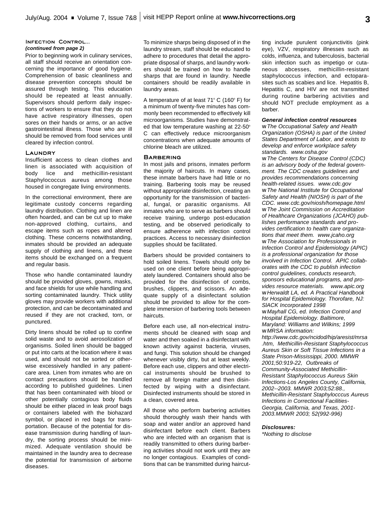#### **Infection Control...** *(continued from page 2)*

Prior to beginning work in culinary services, all staff should receive an orientation concerning the importance of good hygiene. Comprehension of basic cleanliness and disease prevention concepts should be assured through testing. This education should be repeated at least annually. Supervisors should perform daily inspections of workers to ensure that they do not have active respiratory illnesses, open sores on their hands or arms, or an active gastrointestinal illness. Those who are ill should be removed from food services until cleared by infection control.

#### **Laundry**

Insufficient access to clean clothes and linen is associated with acquisition of body lice and methicillin-resistant Staphylococcus aureus among those housed in congregate living environments.

In the correctional environment, there are legitimate custody concerns regarding laundry distribution. Clothing and linen are often hoarded, and can be cut up to make non-approved clothing, curtains, and escape items such as ropes and altered clothing. These concerns notwithstanding, inmates should be provided an adequate supply of clothing and linens, and these items should be exchanged on a frequent and regular basis.

Those who handle contaminated laundry should be provided gloves, gowns, masks, and face shields for use while handling and sorting contaminated laundry. Thick utility gloves may provide workers with additional protection, and can be decontaminated and reused if they are not cracked, torn, or punctured.

Dirty linens should be rolled up to confine solid waste and to avoid aerosolization of organisms. Soiled linen should be bagged or put into carts at the location where it was used, and should not be sorted or otherwise excessively handled in any patientcare area. Linen from inmates who are on contact precautions should be handled according to published guidelines. Linen that has been contaminated with blood or other potentially contagious body fluids should be either placed in leak proof bags or containers labeled with the biohazard symbol, or placed in red bags for transportation. Because of the potential for disease transmission during handling of laundry, the sorting process should be minimized. Adequate ventilation should be maintained in the laundry area to decrease the potential for transmission of airborne diseases.

To minimize sharps being disposed of in the laundry stream, staff should be educated to adhere to procedures that detail the appropriate disposal of sharps, and laundry workers should be trained on how to handle sharps that are found in laundry. Needle containers should be readily available in laundry areas.

A temperature of at least  $71^{\circ}$  C (160 $^{\circ}$  F) for a minimum of twenty-five minutes has commonly been recommended to effectively kill microorganisms. Studies have demonstrated that low temperature washing at  $22-50^\circ$ C can effectively reduce microorganism concentrations when adequate amounts of chlorine bleach are utilized.

#### **Barbering**

In most jails and prisons, inmates perform the majority of haircuts. In many cases, these inmate barbers have had little or no training. Barbering tools may be reused without appropriate disinfection, creating an opportunity for the transmission of bacterial, fungal, or parasitic organisms. All inmates who are to serve as barbers should receive training, undergo post-education testing, and be observed periodically to ensure adherence with infection control practices. Access to necessary disinfection supplies should be facilitated.

Barbers should be provided containers to hold soiled linens. Towels should only be used on one client before being appropriately laundered. Containers should also be provided for the disinfection of combs, brushes, clippers, and scissors. An adequate supply of a disinfectant solution should be provided to allow for the complete immersion of barbering tools between haircuts.

Before each use, all non-electrical instruments should be cleaned with soap and water and then soaked in a disinfectant with known activity against bacteria, viruses, and fungi. This solution should be changed whenever visibly dirty, but at least weekly. Before each use, clippers and other electrical instruments should be brushed to remove all foreign matter and then disinfected by wiping with a disinfectant. Disinfected instruments should be stored in a clean, covered area.

All those who perform barbering activities should thoroughly wash their hands with soap and water and/or an approved hand disinfectant before each client. Barbers who are infected with an organism that is readily transmitted to others during barbering activities should not work until they are no longer contagious. Examples of conditions that can be transmitted during haircutting include purulent conjunctivitis (pink eye), VZV, respiratory illnesses such as colds, influenza, and tuberculosis, bacterial skin infection such as impetigo or cutaneous abcesses, methicillin-resistant staphylococcus infection, and ectoparasites such as scabies and lice. Hepatitis B, Hepatitis C, and HIV are not transmitted during routine barbering activities and should NOT preclude employment as a barber.

### *General infection control resources*

*w The Occupational Safety and Health Organization (OSHA) is part of the United States Department of Labor, and exists to develop and enforce workplace safety standards. www.osha.gov w The Centers for Disease Control (CDC) is an advisory body of the federal government. The CDC creates guidelines and provides recommendations concerning health-related issues. www.cdc.gov w The National Institute for Occupational Safety and Health (NIOSH) is part of the CDC. www.cdc.gov/niosh/homepage.html w The Joint Commission on Accreditation of Healthcare Organizations (JCAHO) publishes performance standards and provides certification to health care organizations that meet them. www.jcaho.org w The Association for Professionals in Infection Control and Epidemiology (APIC) is a professional organization for those involved in Infection Control. APIC collaborates with the CDC to publish infection control guidelines, conducts research, sponsors educational programs, and provides resource materials. www.apic.org w Herwaldt LA, ed. A Practical Handbook for Hospital Epidemiology. Thorofare, NJ: SlACK Incorporated 1998*

*w Mayhall CG, ed. Infection Control and Hospital Epidemiology. Baltimore, Maryland: Williams and Wilkins; 1999 w MRSA information:*

*http://www.cdc.gov/ncidod/hip/aresist/mrsa .htm, Methicillin-Resistant Staphylococcus Aureus Skin or Soft Tissue Infections in a State Prison-Mississippi, 2000. MMWR 2001;50:919-22, Outbreaks of Community-Associated Methicillin-Resistant Staphylococcus Aureus Skin Infections-Los Angeles County, California, 2002--2003. MMWR 2003;52:88., Methicillin-Resistant Staphylocccus Aureus Infections in Correctional Facilities-Georgia, California, and Texas, 2001- 2003.MMWR 2003; 52(992-996)*

#### *Disclosures:*

*\*Nothing to disclose*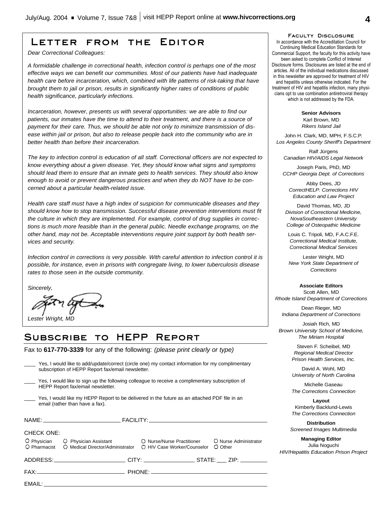## **Letter from the Editor**

*Dear Correctional Colleagues:*

*A formidable challenge in correctional health, infection control is perhaps one of the most effective ways we can benefit our communities. Most of our patients have had inadequate health care before incarceration, which, combined with life patterns of risk-taking that have brought them to jail or prison, results in significantly higher rates of conditions of public health significance, particularly infections.*

*Incarceration, however, presents us with several opportunities: we are able to find our patients, our inmates have the time to attend to their treatment, and there is a source of payment for their care. Thus, we should be able not only to minimize transmission of disease within jail or prison, but also to release people back into the community who are in better health than before their incarceration.*

*The key to infection control is education of all staff. Correctional officers are not expected to know everything about a given disease. Yet, they should know what signs and symptoms should lead them to ensure that an inmate gets to health services. They should also know enough to avoid or prevent dangerous practices and when they do NOT have to be concerned about a particular health-related issue.*

*Health care staff must have a high index of suspicion for communicable diseases and they should know how to stop transmission. Successful disease prevention interventions must fit the culture in which they are implemented. For example, control of drug supplies in corrections is much more feasible than in the general public. Needle exchange programs, on the other hand, may not be. Acceptable interventions require joint support by both health services and security.*

*Infection control in corrections is very possible. With careful attention to infection control it is possible, for instance, even in prisons with congregate living, to lower tuberculosis disease rates to those seen in the outside community.*

*Sincerely,*

EMAIL:

*Lester Wright, MD*

# **Subscribe to HEPP Report**

FAX: PHONE:

Fax to **617-770-3339** for any of the following: *(please print clearly or type)*

|                                                                                                                                      | Yes, I would like to add/update/correct (circle one) my contact information for my complimentary<br>subscription of HEPP Report fax/email newsletter. |  |                                  |
|--------------------------------------------------------------------------------------------------------------------------------------|-------------------------------------------------------------------------------------------------------------------------------------------------------|--|----------------------------------|
| Yes, I would like to sign up the following colleague to receive a complimentary subscription of<br>HEPP Report fax/email newsletter. |                                                                                                                                                       |  |                                  |
|                                                                                                                                      | Yes, I would like my HEPP Report to be delivered in the future as an attached PDF file in an<br>email (rather than have a fax).                       |  |                                  |
|                                                                                                                                      |                                                                                                                                                       |  |                                  |
| <b>CHECK ONE:</b>                                                                                                                    |                                                                                                                                                       |  |                                  |
| O Pharmacist                                                                                                                         | O Physician O Physician Assistant O Nurse/Nurse Practitioner<br>○ Medical Director/Administrator ○ HIV Case Worker/Counselor                          |  | O Nurse Administrator<br>O Other |
|                                                                                                                                      |                                                                                                                                                       |  |                                  |

**Faculty Disclosure** In accordance with the Accreditation Council for Continuing Medical Education Standards for Commercial Support, the faculty for this activity have been asked to complete Conflict of Interest Disclosure forms. Disclosures are listed at the end of articles. All of the individual medications discussed in this newsletter are approved for treatment of HIV and hepatitis unless otherwise indicated. For the treatment of HIV and hepatitis infection, many physicians opt to use combination antiretroviral therapy which is not addressed by the FDA.

> **Senior Advisors** Karl Brown, MD *Rikers Island Jail*

John H. Clark, MD, MPH, F.S.C.P. *Los Angeles County Sheriff's Department*

Ralf Jürgens *Canadian HIV/AIDS Legal Network*

Joseph Paris, PhD, MD *CCHP Georgia Dept. of Corrections*

Abby Dees, JD *CorrectHELP: Corrections HIV Education and Law Project*

David Thomas, MD, JD *Division of Correctional Medicine, NovaSoutheastern University College of Osteopathic Medicine*

Louis C. Tripoli, MD, F.A.C.F.E. *Correctional Medical Institute, Correctional Medical Services*

Lester Wright, MD *New York State Department of Corrections*

**Associate Editors** Scott Allen, MD *Rhode Island Department of Corrections*

Dean Rieger, MD *Indiana Department of Corrections*

Josiah Rich, MD *Brown University School of Medicine, The Miriam Hospital*

> Steven F. Scheibel, MD *Regional Medical Director Prison Health Services, Inc.*

> David A. Wohl, MD *University of North Carolina*

> Michelle Gaseau *The Corrections Connection*

> **Layout** Kimberly Backlund-Lewis *The Corrections Connection*

**Distribution** *Screened Images Multimedia*

**Managing Editor** Julia Noguchi *HIV/Hepatitis Education Prison Project*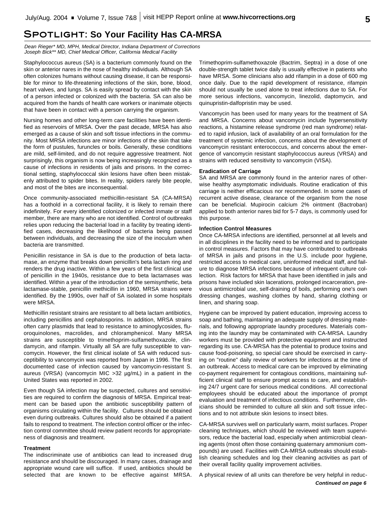## **Spotlight: So Your Facility Has CA-MRSA**

*Dean Rieger\* MD, MPH, Medical Director, Indiana Department of Corrections Joseph Bick\*\* MD, Chief Medical Officer, California Medical Facility*

Staphylococcus aureus (SA) is a bacterium commonly found on the skin or anterior nares in the nose of healthy individuals. Although SA often colonizes humans without causing disease, it can be responsible for minor to life-threatening infections of the skin, bone, blood, heart valves, and lungs. SA is easily spread by contact with the skin of a person infected or colonized with the bacteria. SA can also be acquired from the hands of health care workers or inanimate objects that have been in contact with a person carrying the organism.

Nursing homes and other long-term care facilities have been identified as reservoirs of MRSA. Over the past decade, MRSA has also emerged as a cause of skin and soft tissue infections in the community. Most MRSA infections are minor infections of the skin that take the form of pustules, furuncles or boils. Generally, these conditions are mild, self-limited, and do not require aggressive treatment. Not surprisingly, this organism is now being increasingly recognized as a cause of infections in residents of jails and prisons. In the correctional setting, staphylococcal skin lesions have often been mistakenly attributed to spider bites. In reality, spiders rarely bite people, and most of the bites are inconsequential.

Once community-associated methicillin-resistant SA (CA-MRSA) has a foothold in a correctional facility, it is likely to remain there indefinitely. For every identified colonized or infected inmate or staff member, there are many who are not identified. Control of outbreaks relies upon reducing the bacterial load in a facility by treating identified cases, decreasing the likelihood of bacteria being passed between individuals, and decreasing the size of the inoculum when bacteria are transmitted.

Penicillin resistance in SA is due to the production of beta lactamase, an enzyme that breaks down penicillin's beta lactam ring and renders the drug inactive. Within a few years of the first clinical use of penicillin in the 1940s, resistance due to beta lactamases was identified. Within a year of the introduction of the semisynthetic, beta lactamase-stable, penicillin methicillin in 1960, MRSA strains were identified. By the 1990s, over half of SA isolated in some hospitals were MRSA.

Methicillin resistant strains are resistant to all beta lactam antibiotics, including penicillins and cephalosporins. In addition, MRSA strains often carry plasmids that lead to resistance to aminoglycosides, fluoroquinolones, macrolides, and chloramphenicol. Many MRSA strains are susceptible to trimethoprim-sulfamethoxazole, clindamycin, and rifampin. Virtually all SA are fully susceptible to vancomycin. However, the first clinical isolate of SA with reduced susceptibility to vancomycin was reported from Japan in 1996. The first documented case of infection caused by vancomycin-resistant S. aureus (VRSA) (vancomycin MIC >32 µg/mL) in a patient in the United States was reported in 2002.

Even though SA infection may be suspected, cultures and sensitivities are required to confirm the diagnosis of MRSA. Empirical treatment can be based upon the antibiotic susceptibility pattern of organisms circulating within the facility. Cultures should be obtained even during outbreaks. Cultures should also be obtained if a patient fails to respond to treatment. The infection control officer or the infection control committee should review patient records for appropriateness of diagnosis and treatment.

#### **Treatment**

The indiscriminate use of antibiotics can lead to increased drug resistance and should be discouraged. In many cases, drainage and appropriate wound care will suffice. If used, antibiotics should be selected that are known to be effective against MRSA. Trimethoprim-sulfamethoxazole (Bactrim, Septra) in a dose of one double-strength tablet twice daily is usually effective in patients who have MRSA. Some clinicians also add rifampin in a dose of 600 mg once daily. Due to the rapid development of resistance, rifampin should not usually be used alone to treat infections due to SA. For more serious infections, vancomycin, linezolid, daptomycin, and quinupristin-dalfopristin may be used.

Vancomycin has been used for many years for the treatment of SA and MRSA. Concerns about vancomycin include hypersensitivity reactions, a histamine release syndrome (red man syndrome) related to rapid infusion, lack of availability of an oral formulation for the treatment of systemic infection, concerns about the development of vancomycin resistant enterococcus, and concerns about the emergence of vancomycin resistant staphylococcus aureus (VRSA) and strains with reduced sensitivity to vancomycin (VISA).

#### **Eradication of Carriage**

SA and MRSA are commonly found in the anterior nares of otherwise healthy asymptomatic individuals. Routine eradication of this carriage is neither efficacious nor recommended. In some cases of recurrent active disease, clearance of the organism from the nose can be beneficial. Mupirocin calcium 2% ointment (Bactroban) applied to both anterior nares bid for 5-7 days, is commonly used for this purpose.

#### **Infection Control Measures**

Once CA-MRSA infections are identified, personnel at all levels and in all disciplines in the facility need to be informed and to participate in control measures. Factors that may have contributed to outbreaks of MRSA in jails and prisons in the U.S. include poor hygiene, restricted access to medical care, uninformed medical staff, and failure to diagnose MRSA infections because of infrequent culture collection. Risk factors for MRSA that have been identified in jails and prisons have included skin lacerations, prolonged incarceration, previous antimicrobial use, self-draining of boils, performing one's own dressing changes, washing clothes by hand, sharing clothing or linen, and sharing soap.

Hygiene can be improved by patient education, improving access to soap and bathing, maintaining an adequate supply of dressing materials, and following appropriate laundry procedures. Materials coming into the laundry may be contaminated with CA-MRSA. Laundry workers must be provided with protective equipment and instructed regarding its use. CA-MRSA has the potential to produce toxins and cause food-poisoning, so special care should be exercised in carrying on "routine" daily review of workers for infections at the time of an outbreak. Access to medical care can be improved by eliminating co-payment requirement for contagious conditions, maintaining sufficient clinical staff to ensure prompt access to care, and establishing 24/7 urgent care for serious medical conditions. All correctional employees should be educated about the importance of prompt evaluation and treatment of infectious conditions. Furthermore, clinicians should be reminded to culture all skin and soft tissue infections and to not attribute skin lesions to insect bites.

CA-MRSA survives well on particularly warm, moist surfaces. Proper cleaning techniques, which should be reviewed with team supervisors, reduce the bacterial load, especially when antimicrobial cleaning agents (most often those containing quaternary ammonium compounds) are used. Facilities with CA-MRSA outbreaks should establish cleaning schedules and log their cleaning activities as part of their overall facility quality improvement activities.

A physical review of all units can therefore be very helpful in reduc-

**5**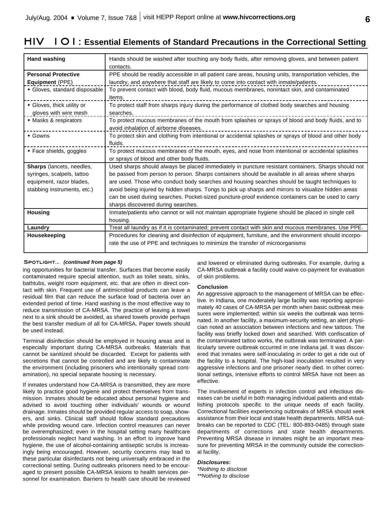# **HIV 101: Essential Elements of Standard Precautions in the Correctional Setting**

| Hand washing                     | Hands should be washed after touching any body fluids, after removing gloves, and between patient       |  |
|----------------------------------|---------------------------------------------------------------------------------------------------------|--|
|                                  | contacts.                                                                                               |  |
| <b>Personal Protective</b>       | PPE should be readily accessible in all patient care areas, housing units, transportation vehicles, the |  |
| Equipment (PPE)                  | laundry, and anywhere that staff are likely to come into contact with inmate/patients.                  |  |
| • Gloves, standard disposable    | To prevent contact with blood, body fluid, mucous membranes, nonintact skin, and contaminated           |  |
|                                  | items.                                                                                                  |  |
| • Gloves, thick utility or       | To protect staff from sharps injury during the performance of clothed body searches and housing         |  |
| gloves with wire mesh            | searches.                                                                                               |  |
| • Masks & respirators            | To protect mucous membranes of the mouth from splashes or sprays of blood and body fluids, and to       |  |
|                                  | avoid inhalation of airborne diseases.                                                                  |  |
| • Gowns                          | To protect skin and clothing from intentional or accidental splashes or sprays of blood and other body  |  |
|                                  | fluids.                                                                                                 |  |
| $\bullet$ Face shields, goggles  | To protect mucous membranes of the mouth, eyes, and nose from intentional or accidental splashes        |  |
|                                  | or sprays of blood and other body fluids.                                                               |  |
| <b>Sharps</b> (lancets, needles, | Used sharps should always be placed immediately in puncture resistant containers. Sharps should not     |  |
| syringes, scalpels, tattoo       | be passed from person to person. Sharps containers should be available in all areas where sharps        |  |
| equipment, razor blades,         | are used. Those who conduct body searches and housing searches should be taught techniques to           |  |
| stabbing instruments, etc.)      | avoid being injured by hidden sharps. Tongs to pick up sharps and mirrors to visualize hidden areas     |  |
|                                  | can be used during searches. Pocket-sized puncture-proof evidence containers can be used to carry       |  |
|                                  | sharps discovered during searches.                                                                      |  |
| <b>Housing</b>                   | Inmate/patients who cannot or will not maintain appropriate hygiene should be placed in single cell     |  |
|                                  | housing.                                                                                                |  |
| Laundry                          | Treat all laundry as if it is contaminated; prevent contact with skin and mucous membranes. Use PPE.    |  |
| Housekeeping                     | Procedures for cleaning and disinfection of equipment, furniture, and the environment should incorpo-   |  |
|                                  | rate the use of PPE and techniques to minimize the transfer of microorganisms                           |  |
|                                  |                                                                                                         |  |

#### **Spotlight...** *(continued from page 5)*

ing opportunities for bacterial transfer. Surfaces that become easily contaminated require special attention, such as toilet seats, sinks, bathtubs, weight room equipment, etc. that are often in direct contact with skin. Frequent use of antimicrobial products can leave a residual film that can reduce the surface load of bacteria over an extended period of time. Hand washing is the most effective way to reduce transmission of CA-MRSA. The practice of leaving a towel next to a sink should be avoided, as shared towels provide perhaps the best transfer medium of all for CA-MRSA. Paper towels should be used instead.

Terminal disinfection should be employed in housing areas and is especially important during CA-MRSA outbreaks. Materials that cannot be sanitized should be discarded. Except for patients with secretions that cannot be controlled and are likely to contaminate the environment (including prisoners who intentionally spread contamination), no special separate housing is necessary.

If inmates understand how CA-MRSA is transmitted, they are more likely to practice good hygiene and protect themselves from transmission. Inmates should be educated about personal hygiene and advised to avoid touching other individuals' wounds or wound drainage. Inmates should be provided regular access to soap, showers, and sinks. Clinical staff should follow standard precautions while providing wound care. Infection control measures can never be overemphasized; even in the hospital setting many healthcare professionals neglect hand washing. In an effort to improve hand hygiene, the use of alcohol-containing antiseptic scrubs is increasingly being encouraged. However, security concerns may lead to these particular disinfectants not being universally embraced in the correctional setting. During outbreaks prisoners need to be encouraged to present possible CA-MRSA lesions to health services personnel for examination. Barriers to health care should be reviewed

and lowered or eliminated during outbreaks. For example, during a CA-MRSA outbreak a facility could waive co-payment for evaluation of skin problems.

#### **Conclusion**

An aggressive approach to the management of MRSA can be effective. In Indiana, one moderately large facility was reporting approximately 40 cases of CA-MRSA per month when basic outbreak measures were implemented; within six weeks the outbreak was terminated. In another facility, a maximum-security setting, an alert physician noted an association between infections and new tattoos. The facility was briefly locked down and searched. With confiscation of the contaminated tattoo works, the outbreak was terminated. A particularly severe outbreak occurred in one Indiana jail. It was discovered that inmates were self-inoculating in order to get a ride out of the facility to a hospital. The high-load inoculation resulted in very aggressive infections and one prisoner nearly died. In other correctional settings, intensive efforts to control MRSA have not been as effective.

The involvement of experts in infection control and infectious diseases can be useful in both managing individual patients and establishing protocols specific to the unique needs of each facility. Correctional facilities experiencing outbreaks of MRSA should seek assistance from their local and state health departments. MRSA outbreaks can be reported to CDC (TEL: 800-893-0485) through state departments of corrections and state health departments. Preventing MRSA disease in inmates might be an important measure for preventing MRSA in the community outside the correctional facility.

## *Disclosures:*

*\*Nothing to disclose \*\*Nothing to disclose*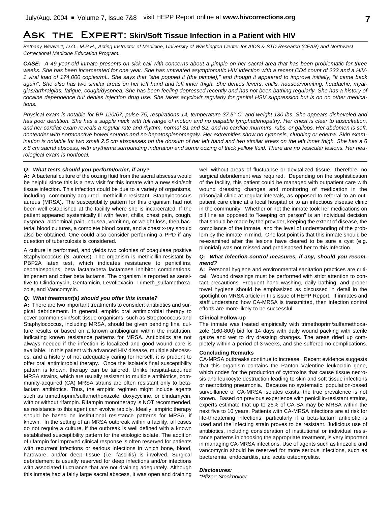## **Ask the Expert: Skin/Soft Tissue Infection in a Patient with HIV**

*Bethany Weaver\*, D.O., M.P.H., Acting Instructor of Medicine, University of Washington Center for AIDS & STD Research (CFAR) and Northwest Correctional Medicine Education Program.*

*CASE: A 49 year-old inmate presents on sick call with concerns about a pimple on her sacral area that has been problematic for three weeks. She has been incarcerated for one year. She has untreated asymptomatic HIV infection with a recent CD4 count of 233 and a HIV-1 viral load of 174,000 copies/mL. She says that "she popped it (the pimple)," and though it appeared to improve initially, "it came back again". She also has two similar areas on her left hand and left inner thigh. She denies fevers, chills, nausea/vomiting, headache, myalgias/arthralgias, fatigue, cough/dyspnea. She has been feeling depressed recently and has not been bathing regularly. She has a history of cocaine dependence but denies injection drug use. She takes acyclovir regularly for genital HSV suppression but is on no other medications.* 

*Physical exam is notable for BP 120/67, pulse 75, respirations 14, temperature 37.5° C, and weight 130 lbs. She appears disheveled and has poor dentition. She has a supple neck with full range of motion and no palpable lymphadenopathy. Her chest is clear to auscultation, and her cardiac exam reveals a regular rate and rhythm, normal S1 and S2, and no cardiac murmurs, rubs, or gallops. Her abdomen is soft, nontender with normoactive bowel sounds and no hepatosplenomegaly. Her extremities show no cyanosis, clubbing or edema. Skin examination is notable for two small 2.5 cm abscesses on the dorsum of her left hand and two similar areas on the left inner thigh. She has a 6 x 8 cm sacral abscess, with erythema surrounding induration and some oozing of thick yellow fluid. There are no vesicular lesions. Her neurological exam is nonfocal.*

#### *Q: What tests should you perform/order, if any?*

**A:** A bacterial culture of the oozing fluid from the sacral abscess would be helpful since this is a new visit for this inmate with a new skin/soft tissue infection. This infection could be due to a variety of organisms, including community-acquired methicillin-resistant Staphylococcus aureus (MRSA). The susceptibility pattern for this organism had not been well established at the facility where she is incarcerated. If the patient appeared systemically ill with fever, chills, chest pain, cough, dyspnea, abdominal pain, nausea, vomiting, or weight loss, then bacterial blood cultures, a complete blood count, and a chest x-ray should also be obtained. One could also consider performing a PPD if any question of tuberculosis is considered.

A culture is performed, and yields two colonies of coagulase positive Staphylococcus (S. aureus). The organism is methicillin-resistant by PBP2A latex test, which indicates resistance to penicillins, cephalosporins, beta lactam/beta lactamase inhibitor combinations, imipenem and other beta lactams. The organism is reported as sensitive to Clindamycin, Gentamicin, Levofloxacin, Trimeth\_sulfamethoxazole, and Vancomycin.

#### *Q: What treatment(s) should you offer this inmate?*

**A:** There are two important treatments to consider: antibiotics and surgical debridement. In general, empiric oral antimicrobial therapy to cover common skin/soft tissue organisms, such as Streptococcus and Staphylococcus, including MRSA, should be given pending final culture results or based on a known antibiogram within the institution, indicating known resistance patterns for MRSA. Antibiotics are not always needed if the infection is localized and good wound care is available. In this patient with advanced HIV disease, multiple abscesses, and a history of not adequately caring for herself, it is prudent to offer oral antimicrobial therapy. Once the isolate's final susceptibility pattern is known, therapy can be tailored. Unlike hospital-acquired MRSA strains, which are usually resistant to multiple antibiotics, community-acquired (CA) MRSA strains are often resistant only to betalactam antibiotics. Thus, the empiric regimen might include agents such as trimethoprim/sulfamethoxazole, doxycycline, or clindamycin, with or without rifampin. Rifampin monotherapy is NOT recommended, as resistance to this agent can evolve rapidly. Ideally, empiric therapy should be based on institutional resistance patterns for MRSA, if known. In the setting of an MRSA outbreak within a facility, all cases do not require a culture, if the outbreak is well defined with a known established susceptibility pattern for the etiologic isolate. The addition of rifampin for improved clinical response is often reserved for patients with recurrent infections or serious infections in which bone, blood, hardware, and/or deep tissue (i.e. fasciitis) is involved. Surgical debridement is usually reserved for deep infections and/or infections with associated fluctuance that are not draining adequately. Although this inmate had a fairly large sacral abscess, it was open and draining

well without areas of fluctuance or devitalized tissue. Therefore, no surgical debridement was required. Depending on the sophistication of the facility, this patient could be managed with outpatient care with wound dressing changes and monitoring of medication in the prison/jail clinic at regular intervals, as opposed to referral to an outpatient care clinic at a local hospital or to an infectious disease clinic in the community. Whether or not the inmate took her medications on pill line as opposed to "keeping on person" is an individual decision that should be made by the provider, keeping the extent of disease, the compliance of the inmate, and the level of understanding of the problem by the inmate in mind. One last point is that this inmate should be re-examined after the lesions have cleared to be sure a cyst (e.g. pilonidal) was not missed and predisposed her to this infection.

#### *Q: What infection-control measures, if any, should you recommend?*

**A:** Personal hygiene and environmental sanitation practices are critical. Wound dressings must be performed with strict attention to contact precautions. Frequent hand washing, daily bathing, and proper towel hygiene should be emphasized as discussed in detail in the spotlight on MRSA article in this issue of HEPP Report. If inmates and staff understand how CA-MRSA is transmitted, then infection control efforts are more likely to be successful.

#### **Clinical Follow-up**

The inmate was treated empirically with trimethoprim/sulfamethoxazole (160-800) bid for 14 days with daily wound packing with sterile gauze and wet to dry dressing changes. The areas dried up completely within a period of 3 weeks, and she suffered no complications.

#### **Concluding Remarks**

CA-MRSA outbreaks continue to increase. Recent evidence suggests that this organism contains the Panton Valentine leukocidin gene, which codes for the production of cytotoxins that cause tissue necrosis and leukocyte destruction leading to skin and soft tissue infections or necrotizing pneumonia. Because no systematic, population-based surveillance of CA-MRSA isolates exists, the true prevalence is not known. Based on previous experience with penicillin-resistant strains, experts estimate that up to 25% of CA-SA may be MRSA within the next five to 10 years. Patients with CA-MRSA infections are at risk for life-threatening infections, particularly if a beta-lactam antibiotic is used and the infecting strain proves to be resistant. Judicious use of antibiotics, including consideration of institutional or individual resistance patterns in choosing the appropriate treatment, is very important in managing CA-MRSA infections. Use of agents such as linezolid and vancomycin should be reserved for more serious infections, such as bacteremia, endocarditis, and acute osteomyelitis.

#### *Disclosures:*

*\*Pfizer: Stockholder*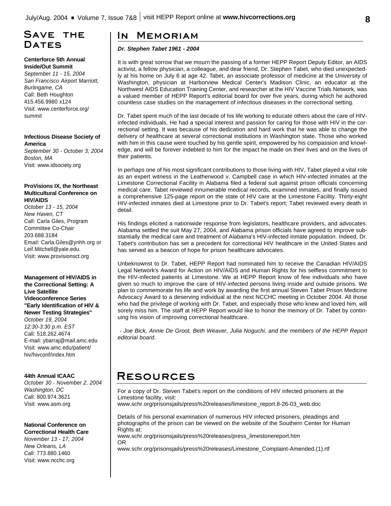# **Save the** DATES

### **Centerforce 5th Annual Inside/Out Summit**

*September 11 - 15, 2004 San Francisco Airport Marriott, Burlingame, CA* Call: Beth Houghton 415.456.9980 x124 Visit: www.centerforce.org/ summit

## **Infectious Disease Society of America**

*September 30 - October 3, 2004 Boston, MA* Visit: www.idsociety.org

## **ProVisions IX, the Northeast Multicultural Conference on HIV/AIDS**

*October 13 - 15, 2004 New Haven, CT* Call: Carla Giles, Program Committee Co-Chair 203.688.3184 Email: Carla.Giles@ynhh.org or Leif.Mitchell@yale.edu. Visit: www.provisionsct.org

## **Management of HIV/AIDS in the Correctional Setting: A Live Satellite**

**Videoconference Series "Early Identification of HIV & Newer Testing Strategies"** *October 19, 2004 12:30-3:30 p.m. EST* Call: 518.262.4674 E-mail: ybarraj@mail.amc.edu Visit: www.amc.edu/patient/

## **44th Annual ICAAC**

hiv/hivconf/index.htm

*October 30 - November 2, 2004 Washington, DC* Call: 800.974.3621 Visit: www.asm.org

### **National Conference on Correctional Health Care**

*November 13 - 17, 2004 New Orleans, LA* Call: 773.880.1460 Visit: www.ncchc.org

# **In Memoriam**

## *Dr. Stephen Tabet 1961 - 2004*

It is with great sorrow that we mourn the passing of a former HEPP Report Deputy Editor, an AIDS activist, a fellow physician, a colleague, and dear friend, Dr. Stephen Tabet, who died unexpectedly at his home on July 6 at age 42. Tabet, an associate professor of medicine at the University of Washington, physician at Harborview Medical Center's Madison Clinic, an educator at the Northwest AIDS Education Training Center, and researcher at the HIV Vaccine Trials Network, was a valued member of HEPP Report's editorial board for over five years, during which he authored countless case studies on the management of infectious diseases in the correctional setting.

Dr. Tabet spent much of the last decade of his life working to educate others about the care of HIVinfected individuals. He had a special interest and passion for caring for those with HIV in the correctional setting. It was because of his dedication and hard work that he was able to change the delivery of healthcare at several correctional institutions in Washington state. Those who worked with him in this cause were touched by his gentle spirit, empowered by his compassion and knowledge, and will be forever indebted to him for the impact he made on their lives and on the lives of their patients.

In perhaps one of his most significant contributions to those living with HIV, Tabet played a vital role as an expert witness in the Leatherwood v. Campbell case in which HIV-infected inmates at the Limestone Correctional Facility in Alabama filed a federal suit against prison officials concerning medical care. Tabet reviewed innumerable medical records, examined inmates, and finally issued a comprehensive 125-page report on the state of HIV care at the Limestone Facility. Thirty-eight HIV-infected inmates died at Limestone prior to Dr. Tabet's report; Tabet reviewed every death in detail.

His findings elicited a nationwide response from legislators, healthcare providers, and advocates. Alabama settled the suit May 27, 2004, and Alabama prison officials have agreed to improve substantially the medical care and treatment of Alabama's HIV-infected inmate population. Indeed, Dr. Tabet's contribution has set a precedent for correctional HIV healthcare in the United States and has served as a beacon of hope for prison healthcare advocates.

Unbeknownst to Dr. Tabet, HEPP Report had nominated him to receive the Canadian HIV/AIDS Legal Network's Award for Action on HIV/AIDS and Human Rights for his selfless commitment to the HIV-infected patients at Limestone. We at HEPP Report know of few individuals who have given so much to improve the care of HIV-infected persons living inside and outside prisons. We plan to commemorate his life and work by awarding the first annual Steven Tabet Prison Medicine Advocacy Award to a deserving individual at the next NCCHC meeting in October 2004. All those who had the privilege of working with Dr. Tabet, and especially those who knew and loved him, will sorely miss him. The staff at HEPP Report would like to honor the memory of Dr. Tabet by continuing his vision of improving correctional healthcare.

*- Joe Bick, Annie De Groot, Beth Weaver, Julia Noguchi, and the members of the HEPP Report editorial board.*

# **Resources**

For a copy of Dr. Steven Tabet's report on the conditions of HIV infected prisoners at the Limestone facility, visit:

www.schr.org/prisonsjails/press%20releases/limestone\_report.8-26-03\_web.doc

Details of his personal examination of numerous HIV infected prisoners, pleadings and photographs of the prison can be viewed on the website of the Southern Center for Human Rights at:

www.schr.org/prisonsjails/press%20releases/press\_limestonereport.htm OR

www.schr.org/prisonsjails/press%20releases/Limestone\_Complaint-Amended.(1).rtf